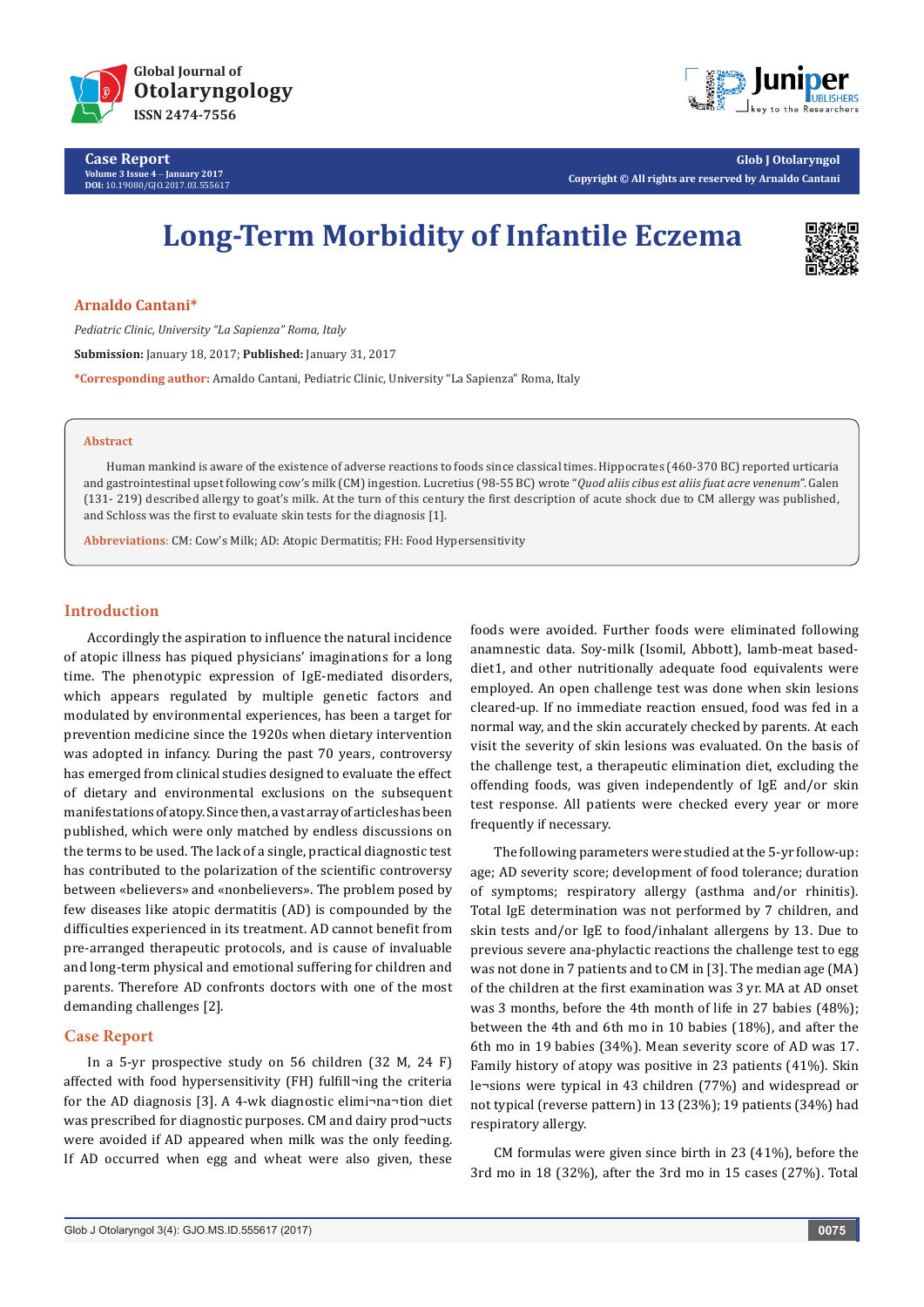

**Case Report Volume 3 Issue 4** - **January 2017 DOI:** [10.19080/GJO.2017.03.555617](http://dx.doi.org/10.19080/GJO.2017.03.555617)



**Glob J Otolaryngol Copyright © All rights are reserved by Arnaldo Cantani**

# **Long-Term Morbidity of Infantile Eczema**



**Arnaldo Cantani\***

*Pediatric Clinic, University "La Sapienza" Roma, Italy* **Submission:** January 18, 2017; **Published:** January 31, 2017 **\*Corresponding author:** Arnaldo Cantani, Pediatric Clinic, University "La Sapienza" Roma, Italy

#### **Abstract**

Human mankind is aware of the existence of adverse reactions to foods since classical times. Hippocrates (460-370 BC) reported urticaria and gastrointestinal upset following cow's milk (CM) ingestion. Lucretius (98-55 BC) wrote "*Quod aliis cibus est aliis fuat acre venenum*". Galen (131- 219) described allergy to goat's milk. At the turn of this century the first description of acute shock due to CM allergy was published, and Schloss was the first to evaluate skin tests for the diagnosis [1].

**Abbreviations**: CM: Cow's Milk; AD: Atopic Dermatitis; FH: Food Hypersensitivity

## **Introduction**

Accordingly the aspiration to influence the natural incidence of atopic illness has piqued physicians' imaginations for a long time. The phenotypic expression of IgE-mediated disorders, which appears regulated by multiple genetic factors and modulated by environmental experiences, has been a target for prevention medicine since the 1920s when dietary intervention was adopted in infancy. During the past 70 years, controversy has emerged from clinical studies designed to evaluate the effect of dietary and environmental exclusions on the subsequent manifestations of atopy. Since then, a vast array of articles has been published, which were only matched by endless discussions on the terms to be used. The lack of a single, practical diagnostic test has contributed to the polarization of the scientific controversy between «believers» and «nonbelievers». The problem posed by few diseases like atopic dermatitis (AD) is compounded by the difficulties experienced in its treatment. AD cannot benefit from pre-arranged therapeutic protocols, and is cause of invaluable and long-term physical and emotional suffering for children and parents. Therefore AD confronts doctors with one of the most demanding challenges [2].

## **Case Report**

In a 5-yr prospective study on 56 children (32 M, 24 F) affected with food hypersensitivity (FH) fulfill¬ing the criteria for the AD diagnosis [3]. A 4-wk diagnostic elimi¬na¬tion diet was prescribed for diagnostic purposes. CM and dairy prod¬ucts were avoided if AD appeared when milk was the only feeding. If AD occurred when egg and wheat were also given, these foods were avoided. Further foods were eliminated following anamnestic data. Soy-milk (Isomil, Abbott), lamb-meat baseddiet1, and other nutritionally adequate food equivalents were employed. An open challenge test was done when skin lesions cleared-up. If no immediate reaction ensued, food was fed in a normal way, and the skin accurately checked by parents. At each visit the severity of skin lesions was evaluated. On the basis of the challenge test, a therapeutic elimination diet, excluding the offending foods, was given independently of IgE and/or skin test response. All patients were checked every year or more frequently if necessary.

The following parameters were studied at the 5-yr follow-up: age; AD severity score; development of food tolerance; duration of symptoms; respiratory allergy (asthma and/or rhinitis). Total IgE determination was not performed by 7 children, and skin tests and/or IgE to food/inhalant allergens by 13. Due to previous severe ana-phylactic reactions the challenge test to egg was not done in 7 patients and to CM in [3]. The median age (MA) of the children at the first examination was 3 yr. MA at AD onset was 3 months, before the 4th month of life in 27 babies (48%); between the 4th and 6th mo in 10 babies (18%), and after the 6th mo in 19 babies (34%). Mean severity score of AD was 17. Family history of atopy was positive in 23 patients (41%). Skin le¬sions were typical in 43 children (77%) and widespread or not typical (reverse pattern) in 13 (23%); 19 patients (34%) had respiratory allergy.

CM formulas were given since birth in 23 (41%), before the 3rd mo in 18 (32%), after the 3rd mo in 15 cases (27%). Total